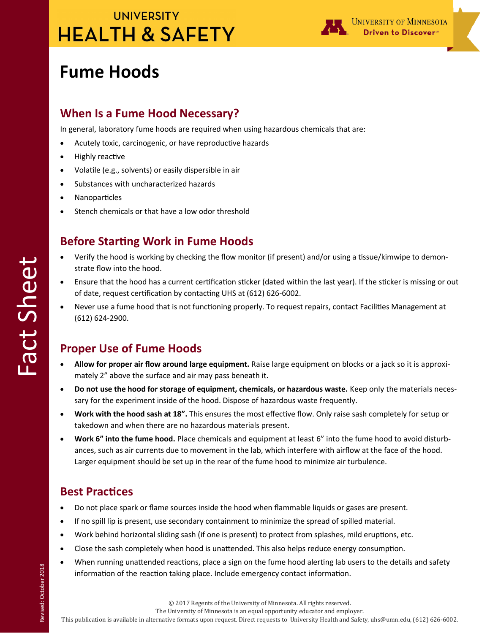

# **Fume Hoods**

### **When Is a Fume Hood Necessary?**

In general, laboratory fume hoods are required when using hazardous chemicals that are:

- Acutely toxic, carcinogenic, or have reproductive hazards
- Highly reactive
- Volatile (e.g., solvents) or easily dispersible in air
- Substances with uncharacterized hazards
- Nanoparticles
- Stench chemicals or that have a low odor threshold

### **Before Starting Work in Fume Hoods**

- Verify the hood is working by checking the flow monitor (if present) and/or using a tissue/kimwipe to demonstrate flow into the hood.
- Ensure that the hood has a current certification sticker (dated within the last year). If the sticker is missing or out of date, request certification by contacting UHS at (612) 626-6002.
- Never use a fume hood that is not functioning properly. To request repairs, contact Facilities Management at (612) 624-2900.

## **Proper Use of Fume Hoods**

- **Allow for proper air flow around large equipment.** Raise large equipment on blocks or a jack so it is approximately 2" above the surface and air may pass beneath it.
- **Do not use the hood for storage of equipment, chemicals, or hazardous waste.** Keep only the materials necessary for the experiment inside of the hood. Dispose of hazardous waste frequently.
- **Work with the hood sash at 18".** This ensures the most effective flow. Only raise sash completely for setup or takedown and when there are no hazardous materials present.
- **Work 6" into the fume hood.** Place chemicals and equipment at least 6" into the fume hood to avoid disturbances, such as air currents due to movement in the lab, which interfere with airflow at the face of the hood. Larger equipment should be set up in the rear of the fume hood to minimize air turbulence.

## **Best Practices**

- Do not place spark or flame sources inside the hood when flammable liquids or gases are present.
- If no spill lip is present, use secondary containment to minimize the spread of spilled material.
- Work behind horizontal sliding sash (if one is present) to protect from splashes, mild eruptions, etc.
- Close the sash completely when hood is unattended. This also helps reduce energy consumption.
- When running unattended reactions, place a sign on the fume hood alerting lab users to the details and safety information of the reaction taking place. Include emergency contact information.

Fact Sheet

The University of Minnesota is an equal opportunity educator and employer.

This publication is available in alternative formats upon request. Direct requests to University Health and Safety, uhs@umn.edu, (612) 626-6002.